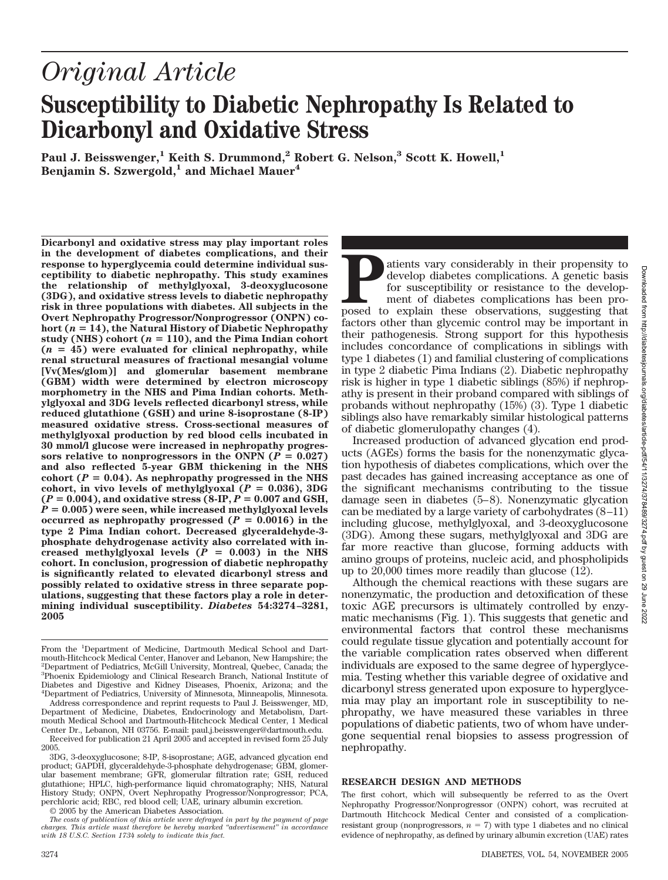Downloaded from http://diabetesjournals.org/diabetes/article-pdf/54/11/3274/378489/3274.pdf by guest on 29 June Downloaded from http://diabetesjournals.org/diabetes/article-pdf/54/11/3274/378489/3274.pdf by guest on 29 June 2022

2022

# *Original Article* **Susceptibility to Diabetic Nephropathy Is Related to Dicarbonyl and Oxidative Stress**

Paul J. Beisswenger,<sup>1</sup> Keith S. Drummond,<sup>2</sup> Robert G. Nelson,<sup>3</sup> Scott K. Howell,<sup>1</sup> **Benjamin S. Szwergold,<sup>1</sup> and Michael Mauer<sup>4</sup>** 

**Dicarbonyl and oxidative stress may play important roles in the development of diabetes complications, and their response to hyperglycemia could determine individual susceptibility to diabetic nephropathy. This study examines the relationship of methylglyoxal, 3-deoxyglucosone (3DG), and oxidative stress levels to diabetic nephropathy risk in three populations with diabetes. All subjects in the Overt Nephropathy Progressor/Nonprogressor (ONPN) co**hort  $(n = 14)$ , the Natural History of Diabetic Nephropathy study (NHS) cohort  $(n = 110)$ , and the Pima Indian cohort  $(n = 45)$  were evaluated for clinical nephropathy, while **renal structural measures of fractional mesangial volume [Vv(Mes/glom)] and glomerular basement membrane (GBM) width were determined by electron microscopy morphometry in the NHS and Pima Indian cohorts. Methylglyoxal and 3DG levels reflected dicarbonyl stress, while reduced glutathione (GSH) and urine 8-isoprostane (8-IP) measured oxidative stress. Cross-sectional measures of methylglyoxal production by red blood cells incubated in 30 mmol/l glucose were increased in nephropathy progres**sors relative to nonprogressors in the ONPN ( $P = 0.027$ ) **and also reflected 5-year GBM thickening in the NHS** cohort  $(P = 0.04)$ . As nephropathy progressed in the NHS cohort, in vivo levels of methylglyoxal  $(P = 0.036)$ , 3DG  $(P = 0.004)$ , and oxidative stress  $(8-IP, P = 0.007, and GSH,$  $P = 0.005$ ) were seen, while increased methylglyoxal levels occurred as nephropathy progressed  $(P = 0.0016)$  in the **type 2 Pima Indian cohort. Decreased glyceraldehyde-3 phosphate dehydrogenase activity also correlated with in**creased methylglyoxal levels  $(P = 0.003)$  in the NHS **cohort. In conclusion, progression of diabetic nephropathy is significantly related to elevated dicarbonyl stress and possibly related to oxidative stress in three separate populations, suggesting that these factors play a role in determining individual susceptibility.** *Diabetes* **54:3274 –3281, 2005**

From the <sup>1</sup>Department of Medicine, Dartmouth Medical School and Dartmouth-Hitchcock Medical Center, Hanover and Lebanon, New Hampshire; the 2 Department of Pediatrics, McGill University, Montreal, Quebec, Canada; the 3 Phoenix Epidemiology and Clinical Research Branch, National Institute of Diabetes and Digestive and Kidney Diseases, Phoenix, Arizona; and the 4 Department of Pediatrics, University of Minnesota, Minneapolis, Minnesota.

Address correspondence and reprint requests to Paul J. Beisswenger, MD, Department of Medicine, Diabetes, Endocrinology and Metabolism, Dartmouth Medical School and Dartmouth-Hitchcock Medical Center, 1 Medical Center Dr., Lebanon, NH 03756. E-mail: paul.j.beisswenger@dartmouth.edu.

Received for publication 21 April 2005 and accepted in revised form 25 July 2005.

3DG, 3-deoxyglucosone; 8-IP, 8-isoprostane; AGE, advanced glycation end product; GAPDH, glyceraldehyde-3-phosphate dehydrogenase; GBM, glomerular basement membrane; GFR, glomerular filtration rate; GSH, reduced glutathione; HPLC, high-performance liquid chromatography; NHS, Natural History Study; ONPN, Overt Nephropathy Progressor/Nonprogressor; PCA, perchloric acid; RBC, red blood cell; UAE, urinary albumin excretion.

© 2005 by the American Diabetes Association.

*The costs of publication of this article were defrayed in part by the payment of page charges. This article must therefore be hereby marked "advertisement" in accordance with 18 U.S.C. Section 1734 solely to indicate this fact.*

**Patients vary considerably in their propensity to** develop diabetes complications. A genetic basis for susceptibility or resistance to the development of diabetes complications has been proposed to explain these observati develop diabetes complications. A genetic basis for susceptibility or resistance to the development of diabetes complications has been profactors other than glycemic control may be important in their pathogenesis. Strong support for this hypothesis includes concordance of complications in siblings with type 1 diabetes (1) and familial clustering of complications in type 2 diabetic Pima Indians (2). Diabetic nephropathy risk is higher in type 1 diabetic siblings (85%) if nephropathy is present in their proband compared with siblings of probands without nephropathy (15%) (3). Type 1 diabetic siblings also have remarkably similar histological patterns of diabetic glomerulopathy changes (4).

Increased production of advanced glycation end products (AGEs) forms the basis for the nonenzymatic glycation hypothesis of diabetes complications, which over the past decades has gained increasing acceptance as one of the significant mechanisms contributing to the tissue damage seen in diabetes (5–8). Nonenzymatic glycation can be mediated by a large variety of carbohydrates  $(8-11)$ including glucose, methylglyoxal, and 3-deoxyglucosone (3DG). Among these sugars, methylglyoxal and 3DG are far more reactive than glucose, forming adducts with amino groups of proteins, nucleic acid, and phospholipids up to 20,000 times more readily than glucose (12).

Although the chemical reactions with these sugars are nonenzymatic, the production and detoxification of these toxic AGE precursors is ultimately controlled by enzymatic mechanisms (Fig. 1). This suggests that genetic and environmental factors that control these mechanisms could regulate tissue glycation and potentially account for the variable complication rates observed when different individuals are exposed to the same degree of hyperglycemia. Testing whether this variable degree of oxidative and dicarbonyl stress generated upon exposure to hyperglycemia may play an important role in susceptibility to nephropathy, we have measured these variables in three populations of diabetic patients, two of whom have undergone sequential renal biopsies to assess progression of nephropathy.

# **RESEARCH DESIGN AND METHODS**

The first cohort, which will subsequently be referred to as the Overt Nephropathy Progressor/Nonprogressor (ONPN) cohort, was recruited at Dartmouth Hitchcock Medical Center and consisted of a complicationresistant group (nonprogressors,  $n = 7$ ) with type 1 diabetes and no clinical evidence of nephropathy, as defined by urinary albumin excretion (UAE) rates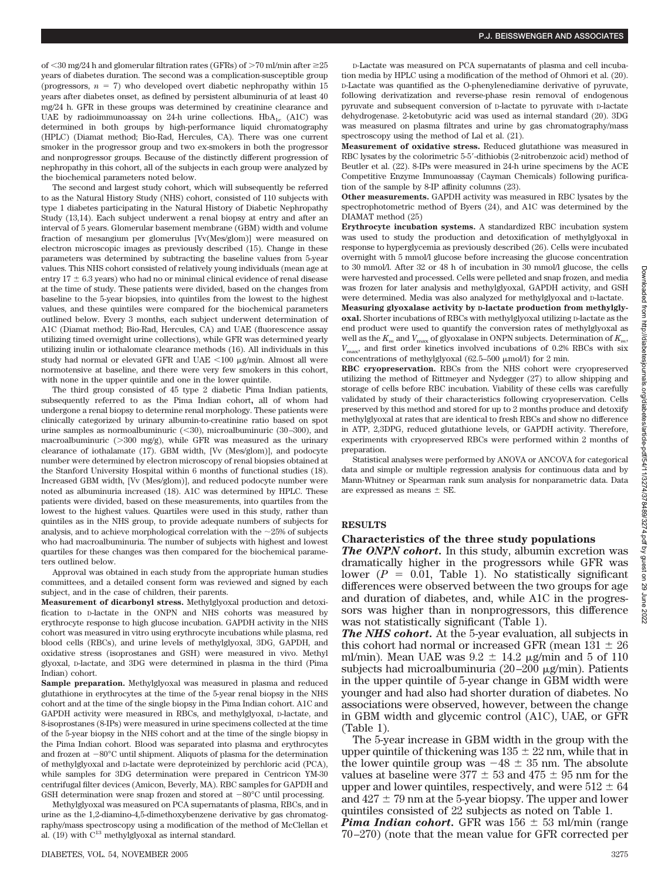of <30 mg/24 h and glomerular filtration rates (GFRs) of >70 ml/min after  $\geq$ 25 years of diabetes duration. The second was a complication-susceptible group (progressors,  $n = 7$ ) who developed overt diabetic nephropathy within 15 years after diabetes onset, as defined by persistent albuminuria of at least 40 mg/24 h. GFR in these groups was determined by creatinine clearance and UAE by radioimmunoassay on 24-h urine collections.  $HbA_{1c}$  (A1C) was determined in both groups by high-performance liquid chromatography (HPLC) (Diamat method; Bio-Rad, Hercules, CA). There was one current smoker in the progressor group and two ex-smokers in both the progressor and nonprogressor groups. Because of the distinctly different progression of nephropathy in this cohort, all of the subjects in each group were analyzed by the biochemical parameters noted below.

The second and largest study cohort, which will subsequently be referred to as the Natural History Study (NHS) cohort, consisted of 110 subjects with type 1 diabetes participating in the Natural History of Diabetic Nephropathy Study (13,14). Each subject underwent a renal biopsy at entry and after an interval of 5 years. Glomerular basement membrane (GBM) width and volume fraction of mesangium per glomerulus [Vv(Mes/glom)] were measured on electron microscopic images as previously described (15). Change in these parameters was determined by subtracting the baseline values from 5-year values. This NHS cohort consisted of relatively young individuals (mean age at entry  $17 \pm 6.3$  years) who had no or minimal clinical evidence of renal disease at the time of study. These patients were divided, based on the changes from baseline to the 5-year biopsies, into quintiles from the lowest to the highest values, and these quintiles were compared for the biochemical parameters outlined below. Every 3 months, each subject underwent determination of A1C (Diamat method; Bio-Rad, Hercules, CA) and UAE (fluorescence assay utilizing timed overnight urine collections), while GFR was determined yearly utilizing inulin or iothalomate clearance methods (16). All individuals in this study had normal or elevated GFR and UAE  $<$ 100  $\mu$ g/min. Almost all were normotensive at baseline, and there were very few smokers in this cohort, with none in the upper quintile and one in the lower quintile.

The third group consisted of 45 type 2 diabetic Pima Indian patients, subsequently referred to as the Pima Indian cohort**,** all of whom had undergone a renal biopsy to determine renal morphology. These patients were clinically categorized by urinary albumin-to-creatinine ratio based on spot urine samples as normoalbuminuric  $(\leq 30)$ , microalbuminuric  $(30-300)$ , and macroalbuminuric ( $>300$  mg/g), while GFR was measured as the urinary clearance of iothalamate (17). GBM width, [Vv (Mes/glom)], and podocyte number were determined by electron microscopy of renal biopsies obtained at the Stanford University Hospital within 6 months of functional studies (18). Increased GBM width, [Vv (Mes/glom)], and reduced podocyte number were noted as albuminuria increased (18). A1C was determined by HPLC. These patients were divided, based on these measurements, into quartiles from the lowest to the highest values. Quartiles were used in this study, rather than quintiles as in the NHS group, to provide adequate numbers of subjects for analysis, and to achieve morphological correlation with the  $\sim$ 25% of subjects who had macroalbuminuria. The number of subjects with highest and lowest quartiles for these changes was then compared for the biochemical parameters outlined below.

Approval was obtained in each study from the appropriate human studies committees, and a detailed consent form was reviewed and signed by each subject, and in the case of children, their parents.

**Measurement of dicarbonyl stress.** Methylglyoxal production and detoxification to D-lactate in the ONPN and NHS cohorts was measured by erythrocyte response to high glucose incubation. GAPDH activity in the NHS cohort was measured in vitro using erythrocyte incubations while plasma, red blood cells (RBCs), and urine levels of methylglyoxal, 3DG, GAPDH, and oxidative stress (isoprostanes and GSH) were measured in vivo. Methyl glyoxal, D-lactate, and 3DG were determined in plasma in the third (Pima Indian) cohort.

**Sample preparation.** Methylglyoxal was measured in plasma and reduced glutathione in erythrocytes at the time of the 5-year renal biopsy in the NHS cohort and at the time of the single biopsy in the Pima Indian cohort. A1C and GAPDH activity were measured in RBCs, and methylglyoxal, D-lactate, and 8-isoprostanes (8-IPs) were measured in urine specimens collected at the time of the 5-year biopsy in the NHS cohort and at the time of the single biopsy in the Pima Indian cohort. Blood was separated into plasma and erythrocytes and frozen at  $-80^{\circ}$ C until shipment. Aliquots of plasma for the determination of methylglyoxal and D-lactate were deproteinized by perchloric acid (PCA), while samples for 3DG determination were prepared in Centricon YM-30 centrifugal filter devices (Amicon, Beverly, MA). RBC samples for GAPDH and GSH determination were snap frozen and stored at  $-80^{\circ}\mathrm{C}$  until processing.

Methylglyoxal was measured on PCA supernatants of plasma, RBCs, and in urine as the 1,2-diamino-4,5-dimethoxybenzene derivative by gas chromatography/mass spectroscopy using a modification of the method of McClellan et al. (19) with  $C^{13}$  methylglyoxal as internal standard.

D-Lactate was measured on PCA supernatants of plasma and cell incubation media by HPLC using a modification of the method of Ohmori et al. (20). D-Lactate was quantified as the O-phenylenediamine derivative of pyruvate, following derivatization and reverse-phase resin removal of endogenous pyruvate and subsequent conversion of D-lactate to pyruvate with D-lactate dehydrogenase. 2-ketobutyric acid was used as internal standard (20). 3DG was measured on plasma filtrates and urine by gas chromatography/mass spectroscopy using the method of Lal et al. (21).

**Measurement of oxidative stress.** Reduced glutathione was measured in RBC lysates by the colorimetric 5-5-dithiobis (2-nitrobenzoic acid) method of Beutler et al. (22). 8-IPs were measured in 24-h urine specimens by the ACE Competitive Enzyme Immunoassay (Cayman Chemicals) following purification of the sample by 8-IP affinity columns (23).

**Other measurements.** GAPDH activity was measured in RBC lysates by the spectrophotometric method of Byers (24), and A1C was determined by the DIAMAT method (25)

**Erythrocyte incubation systems.** A standardized RBC incubation system was used to study the production and detoxification of methylglyoxal in response to hyperglycemia as previously described (26). Cells were incubated overnight with 5 mmol/l glucose before increasing the glucose concentration to 30 mmol/l. After 32 or 48 h of incubation in 30 mmol/l glucose, the cells were harvested and processed. Cells were pelleted and snap frozen, and media was frozen for later analysis and methylglyoxal, GAPDH activity, and GSH were determined. Media was also analyzed for methylglyoxal and D-lactate. **Measuring glyoxalase activity by D-lactate production from methylgly-**

**oxal.** Shorter incubations of RBCs with methylglyoxal utilizing D-lactate as the end product were used to quantify the conversion rates of methylglyoxal as well as the  $K_m$  and  $V_{\text{max}}$  of glyoxalase in ONPN subjects. Determination of  $K_m$ , *V*max, and first order kinetics involved incubations of 0.2% RBCs with six concentrations of methylglyoxal (62.5–500  $\mu$ mol/l) for 2 min.

**RBC cryopreservation.** RBCs from the NHS cohort were cryopreserved utilizing the method of Rittmeyer and Nydegger (27) to allow shipping and storage of cells before RBC incubation. Viability of these cells was carefully validated by study of their characteristics following cryopreservation. Cells preserved by this method and stored for up to 2 months produce and detoxify methylglyoxal at rates that are identical to fresh RBCs and show no difference in ATP, 2,3DPG, reduced glutathione levels, or GAPDH activity. Therefore, experiments with cryopreserved RBCs were performed within 2 months of preparation.

Statistical analyses were performed by ANOVA or ANCOVA for categorical data and simple or multiple regression analysis for continuous data and by Mann-Whitney or Spearman rank sum analysis for nonparametric data. Data are expressed as means  $\pm$  SE.

### **RESULTS**

#### **Characteristics of the three study populations**

*The ONPN cohort.* In this study, albumin excretion was dramatically higher in the progressors while GFR was lower  $(P = 0.01,$  Table 1). No statistically significant differences were observed between the two groups for age and duration of diabetes, and, while A1C in the progressors was higher than in nonprogressors, this difference was not statistically significant (Table 1).

*The NHS cohort.* At the 5-year evaluation, all subjects in this cohort had normal or increased GFR (mean  $131 \pm 26$ ) ml/min). Mean UAE was  $9.2 \pm 14.2$   $\mu$ g/min and 5 of 110 subjects had microalbuminuria (20 $-200 \mu$ g/min). Patients in the upper quintile of 5-year change in GBM width were younger and had also had shorter duration of diabetes. No associations were observed, however, between the change in GBM width and glycemic control (A1C), UAE, or GFR (Table 1).

The 5-year increase in GBM width in the group with the upper quintile of thickening was  $135 \pm 22$  nm, while that in the lower quintile group was  $-48 \pm 35$  nm. The absolute values at baseline were  $377 \pm 53$  and  $475 \pm 95$  nm for the upper and lower quintiles, respectively, and were  $512 \pm 64$ and  $427 \pm 79$  nm at the 5-year biopsy. The upper and lower quintiles consisted of 22 subjects as noted on Table 1.

*Pima Indian cohort.* GFR was  $156 \pm 53$  ml/min (range) 70 –270) (note that the mean value for GFR corrected per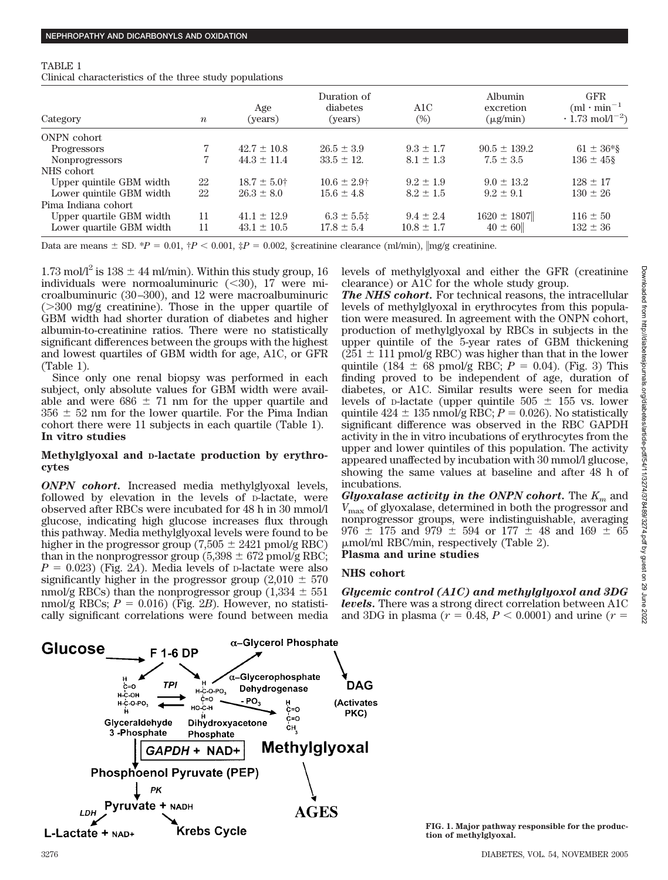# TABLE 1

Clinical characteristics of the three study populations

| Category                 | $\boldsymbol{n}$ | Age<br>(years)   | Duration of<br>diabetes<br>(years) | A1C<br>$(\%)$  | Albumin<br>excretion<br>$(\mu$ g/min) | <b>GFR</b><br>$(ml \cdot min^{-1})$<br>$\cdot$ 1.73 mol/1 <sup>-2</sup> ) |
|--------------------------|------------------|------------------|------------------------------------|----------------|---------------------------------------|---------------------------------------------------------------------------|
| ONPN cohort              |                  |                  |                                    |                |                                       |                                                                           |
| Progressors              |                  | $42.7 \pm 10.8$  | $26.5 \pm 3.9$                     | $9.3 \pm 1.7$  | $90.5 \pm 139.2$                      | $61 \pm 36*$                                                              |
| <b>Nonprogressors</b>    |                  | $44.3 \pm 11.4$  | $33.5 \pm 12.$                     | $8.1 \pm 1.3$  | $7.5 \pm 3.5$                         | $136 \pm 458$                                                             |
| NHS cohort               |                  |                  |                                    |                |                                       |                                                                           |
| Upper quintile GBM width | 22               | $18.7 \pm 5.0^+$ | $10.6 \pm 2.9^+$                   | $9.2 + 1.9$    | $9.0 \pm 13.2$                        | $128 + 17$                                                                |
| Lower quintile GBM width | 22               | $26.3 \pm 8.0$   | $15.6 \pm 4.8$                     | $8.2 \pm 1.5$  | $9.2 + 9.1$                           | $130 \pm 26$                                                              |
| Pima Indiana cohort      |                  |                  |                                    |                |                                       |                                                                           |
| Upper quartile GBM width | 11               | $41.1 \pm 12.9$  | $6.3 \pm 5.5$                      | $9.4 \pm 2.4$  | $1620 \pm 1807$                       | $116 \pm 50$                                                              |
| Lower quartile GBM width | 11               | $43.1 \pm 10.5$  | $17.8 \pm 5.4$                     | $10.8 \pm 1.7$ | $40 \pm 60$                           | $132 \pm 36$                                                              |

Data are means  $\pm$  SD.  $*P = 0.01$ ,  $\frac{d}{dP} < 0.001$ ,  $\frac{d}{dP} = 0.002$ , §creatinine clearance (ml/min),  $\left| \text{mg/g creationine.} \right|$ 

1.73 mol $\Lambda$ <sup>2</sup> is 138  $\pm$  44 ml/min). Within this study group, 16 individuals were normoaluminuric  $(*30*)$ , 17 were microalbuminuric (30 –300), and 12 were macroalbuminuric  $(>300 \text{ mg/g}$  creatinine). Those in the upper quartile of GBM width had shorter duration of diabetes and higher albumin-to-creatinine ratios. There were no statistically significant differences between the groups with the highest and lowest quartiles of GBM width for age, A1C, or GFR (Table 1).

Since only one renal biopsy was performed in each subject, only absolute values for GBM width were available and were  $686 \pm 71$  nm for the upper quartile and  $356 \pm 52$  nm for the lower quartile. For the Pima Indian cohort there were 11 subjects in each quartile (Table 1). **In vitro studies**

# **Methylglyoxal and D-lactate production by erythrocytes**

*ONPN cohort.* Increased media methylglyoxal levels, followed by elevation in the levels of D-lactate, were observed after RBCs were incubated for 48 h in 30 mmol/l glucose, indicating high glucose increases flux through this pathway. Media methylglyoxal levels were found to be higher in the progressor group  $(7,505 \pm 2421 \text{ pmol/g RBC})$ than in the nonprogressor group (5,398  $\pm$  672 pmol/g RBC;  $P = 0.023$  (Fig. 2*A*). Media levels of p-lactate were also significantly higher in the progressor group  $(2,010 \pm 570)$ nmol/g RBCs) than the nonprogressor group  $(1,334 \pm 551)$ nmol/g RBCs;  $P = 0.016$ ) (Fig. 2*B*). However, no statistically significant correlations were found between media levels of methylglyoxal and either the GFR (creatinine clearance) or A1C for the whole study group.

*The NHS cohort.* For technical reasons, the intracellular levels of methylglyoxal in erythrocytes from this population were measured. In agreement with the ONPN cohort, production of methylglyoxal by RBCs in subjects in the upper quintile of the 5-year rates of GBM thickening  $(251 \pm 111 \text{ pmol/g RBC})$  was higher than that in the lower quintile (184  $\pm$  68 pmol/g RBC;  $P = 0.04$ ). (Fig. 3) This finding proved to be independent of age, duration of diabetes, or A1C. Similar results were seen for media levels of p-lactate (upper quintile  $505 \pm 155$  vs. lower quintile  $424 \pm 135$  nmol/g RBC;  $P = 0.026$ ). No statistically significant difference was observed in the RBC GAPDH activity in the in vitro incubations of erythrocytes from the upper and lower quintiles of this population. The activity appeared unaffected by incubation with 30 mmol/l glucose, showing the same values at baseline and after 48 h of incubations.

*Glyoxalase activity in the ONPN cohort.* The *Km* and *V*max of glyoxalase, determined in both the progressor and nonprogressor groups, were indistinguishable, averaging 976  $\pm$  175 and 979  $\pm$  594 or 177  $\pm$  48 and 169  $\pm$  65 mol/ml RBC/min, respectively (Table 2). **Plasma and urine studies**

**NHS cohort**

*Glycemic control (A1C) and methylglyoxol and 3DG levels.* There was a strong direct correlation between A1C and 3DG in plasma ( $r = 0.48, P < 0.0001$ ) and urine ( $r =$ 



**FIG. 1. Major pathway responsible for the production of methylglyoxal.**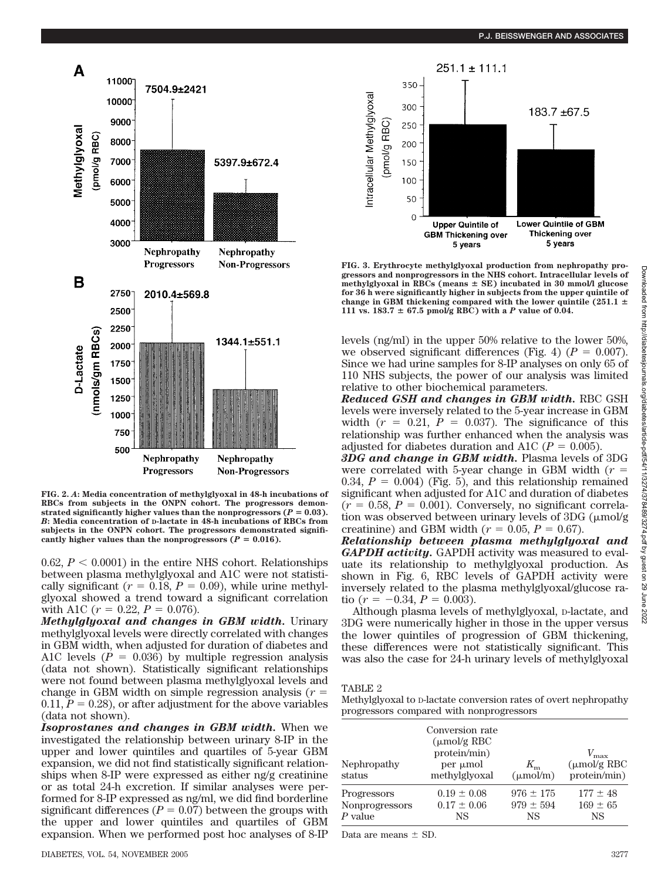

**FIG. 2.** *A***: Media concentration of methylglyoxal in 48-h incubations of RBCs from subjects in the ONPN cohort. The progressors demon**strated significantly higher values than the nonprogressors  $(P = 0.03)$ . *B***: Media concentration of D-lactate in 48-h incubations of RBCs from subjects in the ONPN cohort. The progressors demonstrated signifi**cantly higher values than the nonprogressors  $(P = 0.016)$ .

 $0.62, P < 0.0001$  in the entire NHS cohort. Relationships between plasma methylglyoxal and A1C were not statistically significant ( $r = 0.18$ ,  $P = 0.09$ ), while urine methylglyoxal showed a trend toward a significant correlation with A1C ( $r = 0.22$ ,  $P = 0.076$ ).

*Methylglyoxal and changes in GBM width.* Urinary methylglyoxal levels were directly correlated with changes in GBM width, when adjusted for duration of diabetes and A1C levels  $(P = 0.036)$  by multiple regression analysis (data not shown). Statistically significant relationships were not found between plasma methylglyoxal levels and change in GBM width on simple regression analysis (*r* 0.11,  $P = 0.28$ ), or after adjustment for the above variables (data not shown).

*Isoprostanes and changes in GBM width.* When we investigated the relationship between urinary 8-IP in the upper and lower quintiles and quartiles of 5-year GBM expansion, we did not find statistically significant relationships when 8-IP were expressed as either ng/g creatinine or as total 24-h excretion. If similar analyses were performed for 8-IP expressed as ng/ml, we did find borderline significant differences  $(P = 0.07)$  between the groups with the upper and lower quintiles and quartiles of GBM expansion. When we performed post hoc analyses of 8-IP



**FIG. 3. Erythrocyte methylglyoxal production from nephropathy progressors and nonprogressors in the NHS cohort. Intracellular levels of** methylglyoxal in RBCs (means  $\pm$  SE) incubated in 30 mmol/l glucose **for 36 h were significantly higher in subjects from the upper quintile of** change in GBM thickening compared with the lower quintile (251.1  $\pm$ 111 vs.  $183.7 \pm 67.5$  pmol/g RBC) with a *P* value of 0.04.

levels (ng/ml) in the upper 50% relative to the lower 50%, we observed significant differences (Fig. 4)  $(P = 0.007)$ . Since we had urine samples for 8-IP analyses on only 65 of 110 NHS subjects, the power of our analysis was limited relative to other biochemical parameters.

*Reduced GSH and changes in GBM width.* RBC GSH levels were inversely related to the 5-year increase in GBM width  $(r = 0.21, P = 0.037)$ . The significance of this relationship was further enhanced when the analysis was adjusted for diabetes duration and A1C ( $P = 0.005$ ).

*3DG and change in GBM width.* Plasma levels of 3DG were correlated with 5-year change in GBM width (*r* 0.34,  $P = 0.004$ ) (Fig. 5), and this relationship remained significant when adjusted for A1C and duration of diabetes  $(r = 0.58, P = 0.001)$ . Conversely, no significant correlation was observed between urinary levels of  $3DG$  ( $\mu$ mol/g creatinine) and GBM width  $(r = 0.05, P = 0.67)$ .

*Relationship between plasma methylglyoxal and GAPDH activity.* GAPDH activity was measured to evaluate its relationship to methylglyoxal production. As shown in Fig. 6, RBC levels of GAPDH activity were inversely related to the plasma methylglyoxal/glucose ratio ( $r = -0.34$ ,  $P = 0.003$ ).

Although plasma levels of methylglyoxal, D-lactate, and 3DG were numerically higher in those in the upper versus the lower quintiles of progression of GBM thickening, these differences were not statistically significant. This was also the case for 24-h urinary levels of methylglyoxal

# TABLE 2

| Methylglyoxal to <i>p</i> -lactate conversion rates of overt nephropathy |
|--------------------------------------------------------------------------|
| progressors compared with nonprogressors                                 |

| Nephropathy<br>status | Conversion rate<br>$\mu$ mol/g RBC<br>protein/min)<br>per µmol<br>methylglyoxal | $K_{m}$<br>$(\mu \text{mol/m})$ | $V_{\rm max}$<br>$\mu$ mol/g RBC<br>protein/min) |
|-----------------------|---------------------------------------------------------------------------------|---------------------------------|--------------------------------------------------|
| Progressors           | $0.19 \pm 0.08$                                                                 | $976 \pm 175$                   | $177 \pm 48$                                     |
| Nonprogressors        | $0.17 \pm 0.06$                                                                 | $979 \pm 594$                   | $169 \pm 65$                                     |
| $P$ value             | <b>NS</b>                                                                       | NS                              | <b>NS</b>                                        |

Data are means  $\pm$  SD.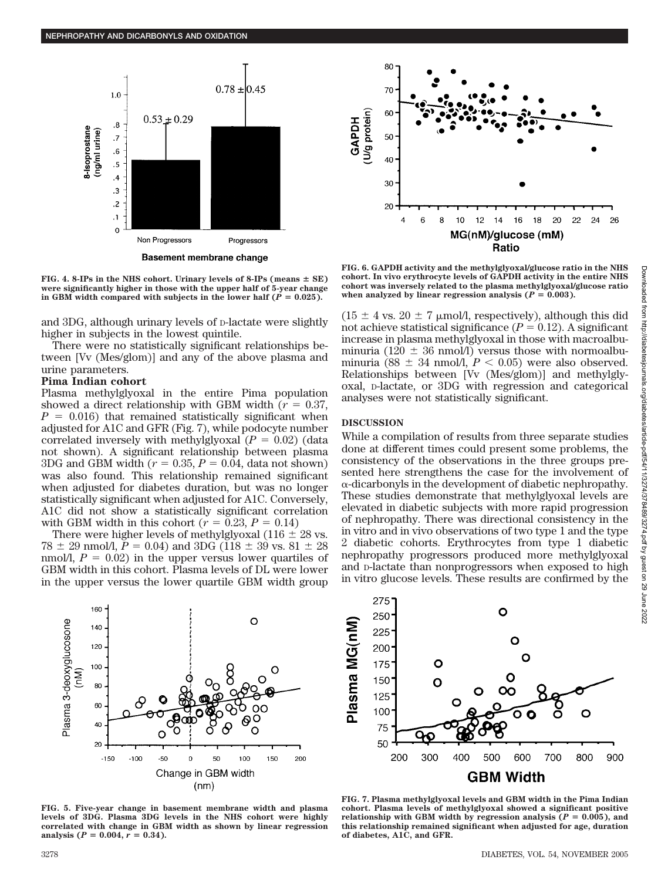



FIG. 4. 8-IPs in the NHS cohort. Urinary levels of 8-IPs (means  $\pm$  SE) **were significantly higher in those with the upper half of 5-year change** in GBM width compared with subjects in the lower half  $(P = 0.025)$ .

and 3DG, although urinary levels of D-lactate were slightly higher in subjects in the lowest quintile.

There were no statistically significant relationships between [Vv (Mes/glom)] and any of the above plasma and urine parameters.

#### **Pima Indian cohort**

Plasma methylglyoxal in the entire Pima population showed a direct relationship with GBM width  $(r = 0.37,$  $P = 0.016$ ) that remained statistically significant when adjusted for A1C and GFR (Fig. 7), while podocyte number correlated inversely with methylglyoxal  $(P = 0.02)$  (data not shown). A significant relationship between plasma 3DG and GBM width  $(r = 0.35, P = 0.04, \text{ data not shown})$ was also found. This relationship remained significant when adjusted for diabetes duration, but was no longer statistically significant when adjusted for A1C. Conversely, A1C did not show a statistically significant correlation with GBM width in this cohort ( $r = 0.23$ ,  $P = 0.14$ )

There were higher levels of methylglyoxal (116  $\pm$  28 vs.  $78 \pm 29$  nmol/l,  $P = 0.04$ ) and 3DG (118  $\pm$  39 vs. 81  $\pm$  28 nmol/l,  $P = 0.02$ ) in the upper versus lower quartiles of GBM width in this cohort. Plasma levels of DL were lower in the upper versus the lower quartile GBM width group

**FIG. 6. GAPDH activity and the methylglyoxal/glucose ratio in the NHS cohort. In vivo erythrocyte levels of GAPDH activity in the entire NHS cohort was inversely related to the plasma methylglyoxal/glucose ratio** when analyzed by linear regression analysis  $(P = 0.003)$ .

 $(15 \pm 4 \text{ vs. } 20 \pm 7 \text{ }\mu\text{mol/l, respectively})$ , although this did not achieve statistical significance  $(P = 0.12)$ . A significant increase in plasma methylglyoxal in those with macroalbuminuria (120  $\pm$  36 nmol/l) versus those with normoalbuminuria ( $88 \pm 34$  nmol/l,  $P < 0.05$ ) were also observed. Relationships between [Vv (Mes/glom)] and methylglyoxal, D-lactate, or 3DG with regression and categorical analyses were not statistically significant.

# **DISCUSSION**

While a compilation of results from three separate studies done at different times could present some problems, the consistency of the observations in the three groups presented here strengthens the case for the involvement of  $\alpha$ -dicarbonyls in the development of diabetic nephropathy. These studies demonstrate that methylglyoxal levels are elevated in diabetic subjects with more rapid progression of nephropathy. There was directional consistency in the in vitro and in vivo observations of two type 1 and the type 2 diabetic cohorts. Erythrocytes from type 1 diabetic nephropathy progressors produced more methylglyoxal and D-lactate than nonprogressors when exposed to high in vitro glucose levels. These results are confirmed by the



2022



**FIG. 5. Five-year change in basement membrane width and plasma levels of 3DG. Plasma 3DG levels in the NHS cohort were highly correlated with change in GBM width as shown by linear regression** analysis ( $P = 0.004$ ,  $r = 0.34$ ).



**FIG. 7. Plasma methylglyoxal levels and GBM width in the Pima Indian cohort. Plasma levels of methylglyoxal showed a significant positive** relationship with GBM width by regression analysis  $(P = 0.005)$ , and **this relationship remained significant when adjusted for age, duration of diabetes, A1C, and GFR.**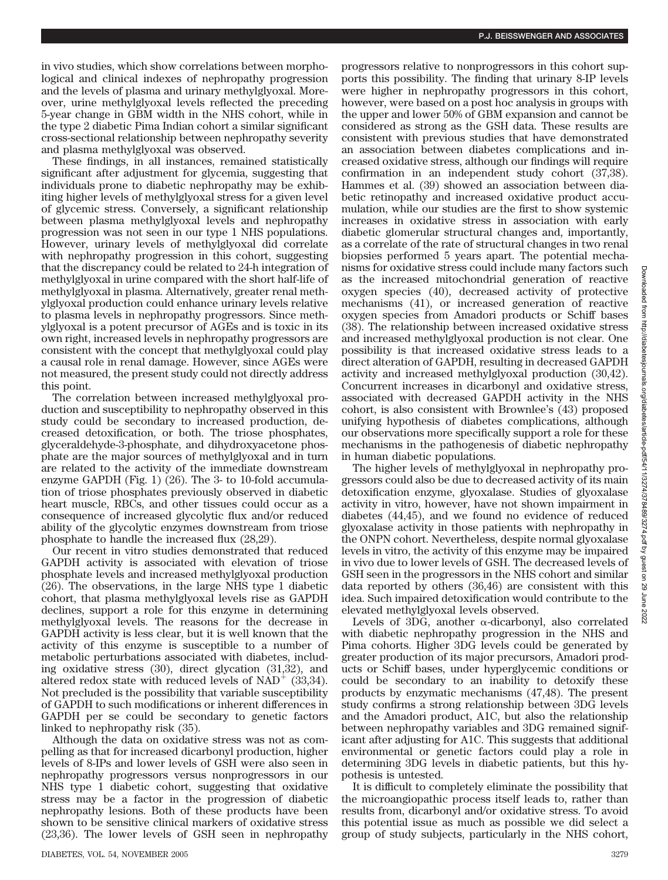in vivo studies, which show correlations between morphological and clinical indexes of nephropathy progression and the levels of plasma and urinary methylglyoxal. Moreover, urine methylglyoxal levels reflected the preceding 5-year change in GBM width in the NHS cohort, while in the type 2 diabetic Pima Indian cohort a similar significant cross-sectional relationship between nephropathy severity and plasma methylglyoxal was observed.

These findings, in all instances, remained statistically significant after adjustment for glycemia, suggesting that individuals prone to diabetic nephropathy may be exhibiting higher levels of methylglyoxal stress for a given level of glycemic stress. Conversely, a significant relationship between plasma methylglyoxal levels and nephropathy progression was not seen in our type 1 NHS populations. However, urinary levels of methylglyoxal did correlate with nephropathy progression in this cohort, suggesting that the discrepancy could be related to 24-h integration of methylglyoxal in urine compared with the short half-life of methylglyoxal in plasma. Alternatively, greater renal methylglyoxal production could enhance urinary levels relative to plasma levels in nephropathy progressors. Since methylglyoxal is a potent precursor of AGEs and is toxic in its own right, increased levels in nephropathy progressors are consistent with the concept that methylglyoxal could play a causal role in renal damage. However, since AGEs were not measured, the present study could not directly address this point.

The correlation between increased methylglyoxal production and susceptibility to nephropathy observed in this study could be secondary to increased production, decreased detoxification, or both. The triose phosphates, glyceraldehyde-3-phosphate, and dihydroxyacetone phosphate are the major sources of methylglyoxal and in turn are related to the activity of the immediate downstream enzyme GAPDH (Fig. 1) (26). The 3- to 10-fold accumulation of triose phosphates previously observed in diabetic heart muscle, RBCs, and other tissues could occur as a consequence of increased glycolytic flux and/or reduced ability of the glycolytic enzymes downstream from triose phosphate to handle the increased flux (28,29).

Our recent in vitro studies demonstrated that reduced GAPDH activity is associated with elevation of triose phosphate levels and increased methylglyoxal production (26). The observations, in the large NHS type 1 diabetic cohort, that plasma methylglyoxal levels rise as GAPDH declines, support a role for this enzyme in determining methylglyoxal levels. The reasons for the decrease in GAPDH activity is less clear, but it is well known that the activity of this enzyme is susceptible to a number of metabolic perturbations associated with diabetes, including oxidative stress (30), direct glycation (31,32), and altered redox state with reduced levels of  $NAD^+$  (33,34). Not precluded is the possibility that variable susceptibility of GAPDH to such modifications or inherent differences in GAPDH per se could be secondary to genetic factors linked to nephropathy risk (35).

Although the data on oxidative stress was not as compelling as that for increased dicarbonyl production, higher levels of 8-IPs and lower levels of GSH were also seen in nephropathy progressors versus nonprogressors in our NHS type 1 diabetic cohort, suggesting that oxidative stress may be a factor in the progression of diabetic nephropathy lesions. Both of these products have been shown to be sensitive clinical markers of oxidative stress (23,36). The lower levels of GSH seen in nephropathy progressors relative to nonprogressors in this cohort supports this possibility. The finding that urinary 8-IP levels were higher in nephropathy progressors in this cohort, however, were based on a post hoc analysis in groups with the upper and lower 50% of GBM expansion and cannot be considered as strong as the GSH data. These results are consistent with previous studies that have demonstrated an association between diabetes complications and increased oxidative stress, although our findings will require confirmation in an independent study cohort (37,38). Hammes et al. (39) showed an association between diabetic retinopathy and increased oxidative product accumulation, while our studies are the first to show systemic increases in oxidative stress in association with early diabetic glomerular structural changes and, importantly, as a correlate of the rate of structural changes in two renal biopsies performed 5 years apart. The potential mechanisms for oxidative stress could include many factors such as the increased mitochondrial generation of reactive oxygen species (40), decreased activity of protective mechanisms (41), or increased generation of reactive oxygen species from Amadori products or Schiff bases (38). The relationship between increased oxidative stress and increased methylglyoxal production is not clear. One possibility is that increased oxidative stress leads to a direct alteration of GAPDH, resulting in decreased GAPDH activity and increased methylglyoxal production (30,42). Concurrent increases in dicarbonyl and oxidative stress, associated with decreased GAPDH activity in the NHS cohort, is also consistent with Brownlee's (43) proposed unifying hypothesis of diabetes complications, although our observations more specifically support a role for these mechanisms in the pathogenesis of diabetic nephropathy in human diabetic populations.

The higher levels of methylglyoxal in nephropathy progressors could also be due to decreased activity of its main detoxification enzyme, glyoxalase. Studies of glyoxalase activity in vitro, however, have not shown impairment in diabetes (44,45), and we found no evidence of reduced glyoxalase activity in those patients with nephropathy in the ONPN cohort. Nevertheless, despite normal glyoxalase levels in vitro, the activity of this enzyme may be impaired in vivo due to lower levels of GSH. The decreased levels of GSH seen in the progressors in the NHS cohort and similar data reported by others (36,46) are consistent with this idea. Such impaired detoxification would contribute to the elevated methylglyoxal levels observed.

Levels of 3DG, another  $\alpha$ -dicarbonyl, also correlated with diabetic nephropathy progression in the NHS and Pima cohorts. Higher 3DG levels could be generated by greater production of its major precursors, Amadori products or Schiff bases, under hyperglycemic conditions or could be secondary to an inability to detoxify these products by enzymatic mechanisms (47,48). The present study confirms a strong relationship between 3DG levels and the Amadori product, A1C, but also the relationship between nephropathy variables and 3DG remained significant after adjusting for A1C. This suggests that additional environmental or genetic factors could play a role in determining 3DG levels in diabetic patients, but this hypothesis is untested.

It is difficult to completely eliminate the possibility that the microangiopathic process itself leads to, rather than results from, dicarbonyl and/or oxidative stress. To avoid this potential issue as much as possible we did select a group of study subjects, particularly in the NHS cohort,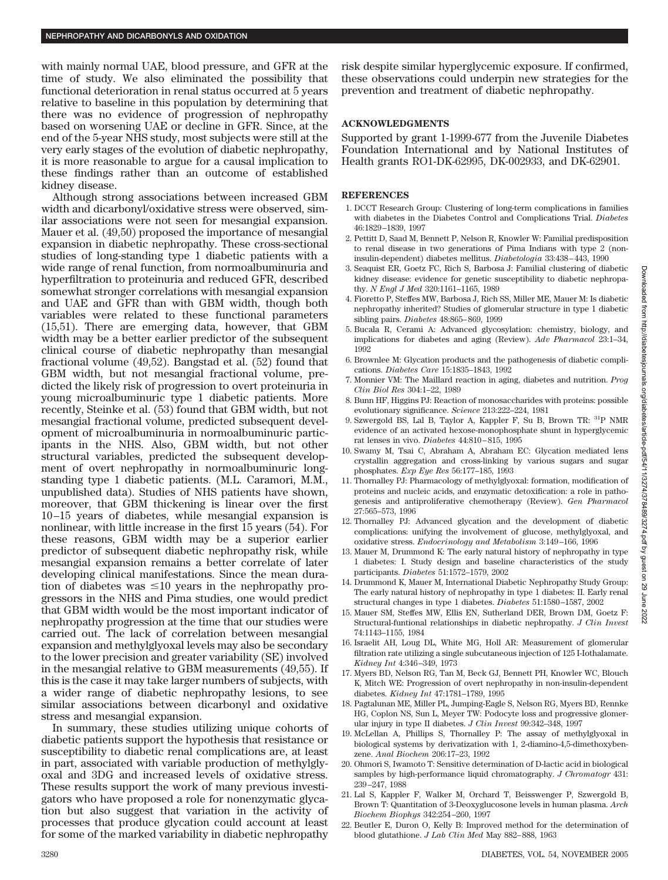with mainly normal UAE, blood pressure, and GFR at the time of study. We also eliminated the possibility that functional deterioration in renal status occurred at 5 years relative to baseline in this population by determining that there was no evidence of progression of nephropathy based on worsening UAE or decline in GFR. Since, at the end of the 5-year NHS study, most subjects were still at the very early stages of the evolution of diabetic nephropathy, it is more reasonable to argue for a causal implication to these findings rather than an outcome of established kidney disease.

Although strong associations between increased GBM width and dicarbonyl/oxidative stress were observed, similar associations were not seen for mesangial expansion. Mauer et al. (49,50) proposed the importance of mesangial expansion in diabetic nephropathy. These cross-sectional studies of long-standing type 1 diabetic patients with a wide range of renal function, from normoalbuminuria and hyperfiltration to proteinuria and reduced GFR, described somewhat stronger correlations with mesangial expansion and UAE and GFR than with GBM width, though both variables were related to these functional parameters (15,51). There are emerging data, however, that GBM width may be a better earlier predictor of the subsequent clinical course of diabetic nephropathy than mesangial fractional volume (49,52). Bangstad et al. (52) found that GBM width, but not mesangial fractional volume, predicted the likely risk of progression to overt proteinuria in young microalbuminuric type 1 diabetic patients. More recently, Steinke et al. (53) found that GBM width, but not mesangial fractional volume, predicted subsequent development of microalbuminuria in normoalbuminuric participants in the NHS. Also, GBM width, but not other structural variables, predicted the subsequent development of overt nephropathy in normoalbuminuric longstanding type 1 diabetic patients. (M.L. Caramori, M.M., unpublished data). Studies of NHS patients have shown, moreover, that GBM thickening is linear over the first 10 –15 years of diabetes, while mesangial expansion is nonlinear, with little increase in the first 15 years (54). For these reasons, GBM width may be a superior earlier predictor of subsequent diabetic nephropathy risk, while mesangial expansion remains a better correlate of later developing clinical manifestations. Since the mean duration of diabetes was  $\leq 10$  years in the nephropathy progressors in the NHS and Pima studies, one would predict that GBM width would be the most important indicator of nephropathy progression at the time that our studies were carried out. The lack of correlation between mesangial expansion and methylglyoxal levels may also be secondary to the lower precision and greater variability (SE) involved in the mesangial relative to GBM measurements (49,55). If this is the case it may take larger numbers of subjects, with a wider range of diabetic nephropathy lesions, to see similar associations between dicarbonyl and oxidative stress and mesangial expansion.

In summary, these studies utilizing unique cohorts of diabetic patients support the hypothesis that resistance or susceptibility to diabetic renal complications are, at least in part, associated with variable production of methylglyoxal and 3DG and increased levels of oxidative stress. These results support the work of many previous investigators who have proposed a role for nonenzymatic glycation but also suggest that variation in the activity of processes that produce glycation could account at least for some of the marked variability in diabetic nephropathy

risk despite similar hyperglycemic exposure. If confirmed, these observations could underpin new strategies for the prevention and treatment of diabetic nephropathy.

# **ACKNOWLEDGMENTS**

Supported by grant 1-1999-677 from the Juvenile Diabetes Foundation International and by National Institutes of Health grants RO1-DK-62995, DK-002933, and DK-62901.

#### **REFERENCES**

- 1. DCCT Research Group: Clustering of long-term complications in families with diabetes in the Diabetes Control and Complications Trial. *Diabetes* 46:1829 –1839, 1997
- 2. Pettitt D, Saad M, Bennett P, Nelson R, Knowler W: Familial predisposition to renal disease in two generations of Pima Indians with type 2 (noninsulin-dependent) diabetes mellitus. *Diabetologia* 33:438 – 443, 1990
- 3. Seaquist ER, Goetz FC, Rich S, Barbosa J: Familial clustering of diabetic kidney disease: evidence for genetic susceptibility to diabetic nephropathy. *N Engl J Med* 320:1161–1165, 1989
- 4. Fioretto P, Steffes MW, Barbosa J, Rich SS, Miller ME, Mauer M: Is diabetic nephropathy inherited? Studies of glomerular structure in type 1 diabetic sibling pairs. *Diabetes* 48:865– 869, 1999
- 5. Bucala R, Cerami A: Advanced glycosylation: chemistry, biology, and implications for diabetes and aging (Review). *Adv Pharmacol* 23:1–34, 1992
- 6. Brownlee M: Glycation products and the pathogenesis of diabetic complications. *Diabetes Care* 15:1835–1843, 1992
- 7. Monnier VM: The Maillard reaction in aging, diabetes and nutrition. *Prog Clin Biol Res* 304:1–22, 1989
- 8. Bunn HF, Higgins PJ: Reaction of monosaccharides with proteins: possible evolutionary significance. *Science* 213:222–224, 1981
- 9. Szwergold BS, Lal B, Taylor A, Kappler F, Su B, Brown TR: 31P NMR evidence of an activated hexose-monophosphate shunt in hyperglycemic rat lenses in vivo. *Diabetes* 44:810 – 815, 1995
- 10. Swamy M, Tsai C, Abraham A, Abraham EC: Glycation mediated lens crystallin aggregation and cross-linking by various sugars and sugar phosphates. *Exp Eye Res* 56:177–185, 1993
- 11. Thornalley PJ: Pharmacology of methylglyoxal: formation, modification of proteins and nucleic acids, and enzymatic detoxification: a role in pathogenesis and antiproliferative chemotherapy (Review). *Gen Pharmacol* 27:565–573, 1996
- 12. Thornalley PJ: Advanced glycation and the development of diabetic complications: unifying the involvement of glucose, methylglyoxal, and oxidative stress. *Endocrinology and Metabolism* 3:149 –166, 1996
- 13. Mauer M, Drummond K: The early natural history of nephropathy in type 1 diabetes: I. Study design and baseline characteristics of the study participants. *Diabetes* 51:1572–1579, 2002
- 14. Drummond K, Mauer M, International Diabetic Nephropathy Study Group: The early natural history of nephropathy in type 1 diabetes: II. Early renal structural changes in type 1 diabetes. *Diabetes* 51:1580 –1587, 2002
- 15. Mauer SM, Steffes MW, Ellis EN, Sutherland DER, Brown DM, Goetz F: Structural-funtional relationships in diabetic nephropathy. *J Clin Invest* 74:1143–1155, 1984
- 16. Israelit AH, Loug DL, White MG, Holl AR: Measurement of glomerular filtration rate utilizing a single subcutaneous injection of 125 I-Iothalamate. *Kidney Int* 4:346 –349, 1973
- 17. Myers BD, Nelson RG, Tan M, Beck GJ, Bennett PH, Knowler WC, Blouch K, Mitch WE: Progression of overt nephropathy in non-insulin-dependent diabetes. *Kidney Int* 47:1781–1789, 1995
- 18. Pagtalunan ME, Miller PL, Jumping-Eagle S, Nelson RG, Myers BD, Rennke HG, Coplon NS, Sun L, Meyer TW: Podocyte loss and progressive glomerular injury in type II diabetes. *J Clin Invest* 99:342–348, 1997
- 19. McLellan A, Phillips S, Thornalley P: The assay of methylglyoxal in biological systems by derivatization with 1, 2-diamino-4,5-dimethoxybenzene. *Anal Biochem* 206:17–23, 1992
- 20. Ohmori S, Iwamoto T: Sensitive determination of D-lactic acid in biological samples by high-performance liquid chromatography. *J Chromatogr* 431: 239 –247, 1988
- 21. Lal S, Kappler F, Walker M, Orchard T, Beisswenger P, Szwergold B, Brown T: Quantitation of 3-Deoxyglucosone levels in human plasma. *Arch Biochem Biophys* 342:254 –260, 1997
- 22. Beutler E, Duron O, Kelly B: Improved method for the determination of blood glutathione. *J Lab Clin Med* May 882– 888, 1963